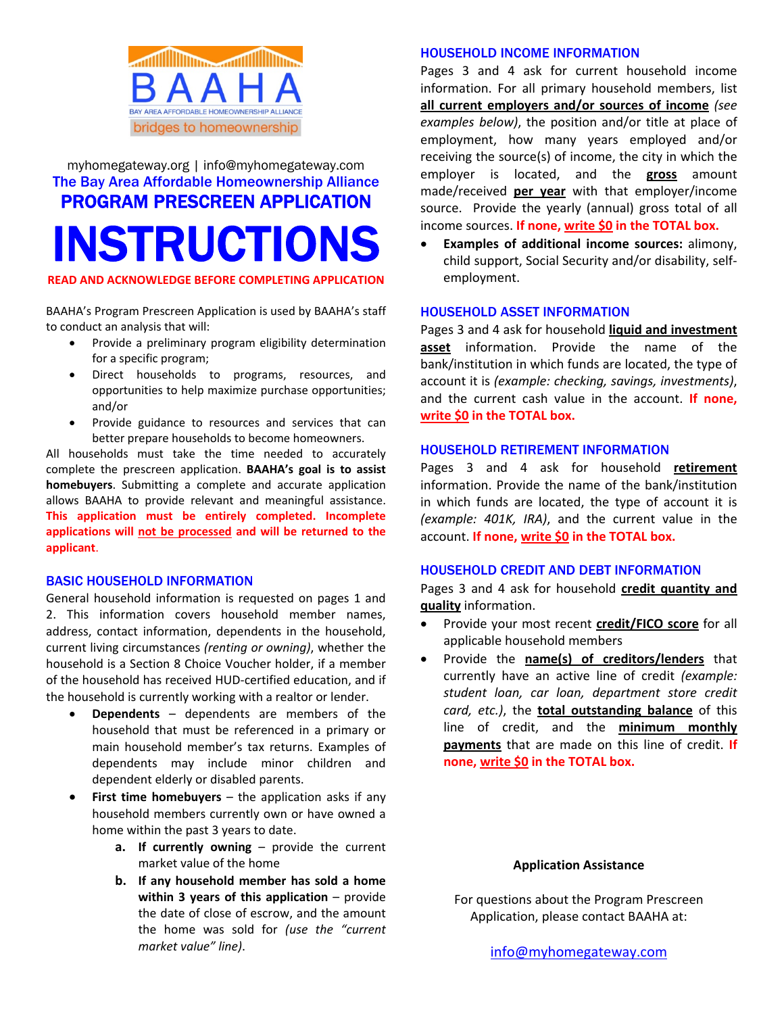

# myhomegateway.org | info@myhomegateway.com The Bay Area Affordable Homeownership Alliance PROGRAM PRESCREEN APPLICATION INSTRUCTIONS

**READ AND ACKNOWLEDGE BEFORE COMPLETING APPLICATION**

BAAHA's Program Prescreen Application is used by BAAHA's staff to conduct an analysis that will:

- Provide a preliminary program eligibility determination for a specific program;
- Direct households to programs, resources, and opportunities to help maximize purchase opportunities; and/or
- Provide guidance to resources and services that can better prepare households to become homeowners.

All households must take the time needed to accurately complete the prescreen application. **BAAHA's goal is to assist homebuyers**. Submitting a complete and accurate application allows BAAHA to provide relevant and meaningful assistance. **This application must be entirely completed. Incomplete applications will not be processed and will be returned to the applicant**.

#### BASIC HOUSEHOLD INFORMATION

General household information is requested on pages 1 and 2. This information covers household member names, address, contact information, dependents in the household, current living circumstances *(renting or owning)*, whether the household is a Section 8 Choice Voucher holder, if a member of the household has received HUD‐certified education, and if the household is currently working with a realtor or lender.

- **Dependents** dependents are members of the household that must be referenced in a primary or main household member's tax returns. Examples of dependents may include minor children and dependent elderly or disabled parents.
- **First time homebuyers** the application asks if any household members currently own or have owned a home within the past 3 years to date.
	- **a. If currently owning** provide the current market value of the home
	- **b. If any household member has sold a home within 3 years of this application** – provide the date of close of escrow, and the amount the home was sold for *(use the "current market value" line)*.

#### HOUSEHOLD INCOME INFORMATION

Pages 3 and 4 ask for current household income information. For all primary household members, list **all current employers and/or sources of income** *(see examples below)*, the position and/or title at place of employment, how many years employed and/or receiving the source(s) of income, the city in which the employer is located, and the **gross** amount made/received **per year** with that employer/income source. Provide the yearly (annual) gross total of all income sources. **If none, write \$0 in the TOTAL box.**

 **Examples of additional income sources:** alimony, child support, Social Security and/or disability, self‐ employment.

#### HOUSEHOLD ASSET INFORMATION

Pages 3 and 4 ask for household **liquid and investment asset** information. Provide the name of the bank/institution in which funds are located, the type of account it is *(example: checking, savings, investments)*, and the current cash value in the account. **If none, write \$0 in the TOTAL box.**

#### HOUSEHOLD RETIREMENT INFORMATION

Pages 3 and 4 ask for household **retirement** information. Provide the name of the bank/institution in which funds are located, the type of account it is *(example: 401K, IRA)*, and the current value in the account. **If none, write \$0 in the TOTAL box.**

#### HOUSEHOLD CREDIT AND DEBT INFORMATION

Pages 3 and 4 ask for household **credit quantity and quality** information.

- Provide your most recent **credit/FICO score** for all applicable household members
- Provide the **name(s) of creditors/lenders** that currently have an active line of credit *(example: student loan, car loan, department store credit card, etc.)*, the **total outstanding balance** of this line of credit, and the **minimum monthly payments** that are made on this line of credit. **If none, write \$0 in the TOTAL box.**

#### **Application Assistance**

For questions about the Program Prescreen Application, please contact BAAHA at: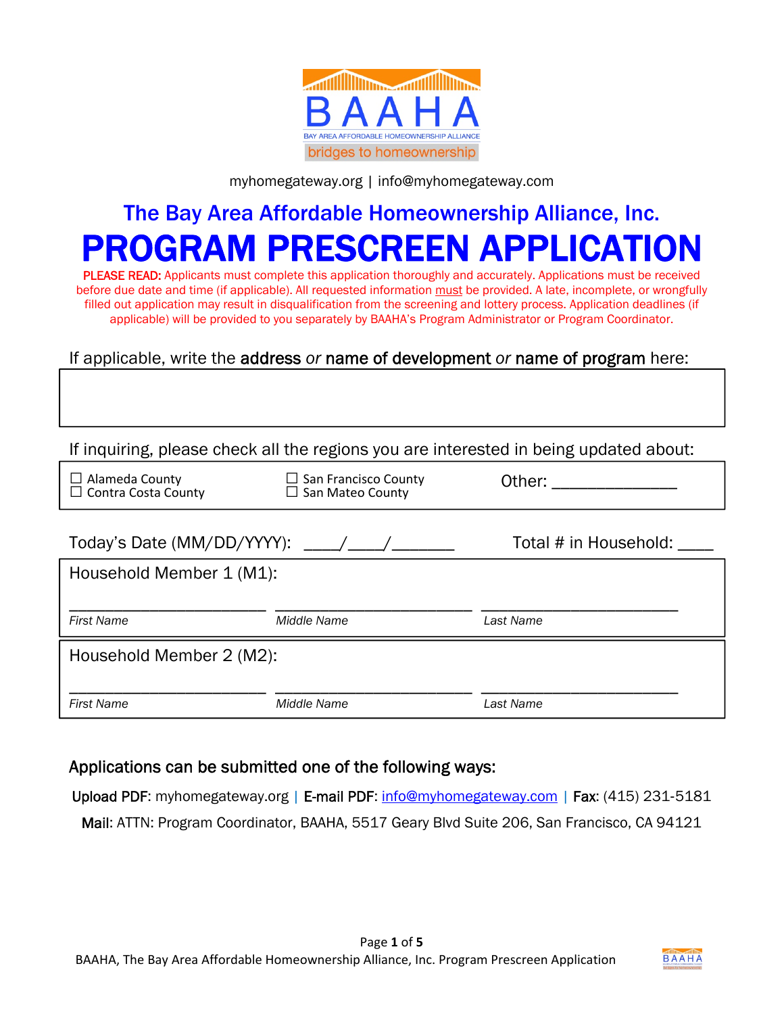

#### myhomegateway.org | info@myhomegateway.com

# The Bay Area Affordable Homeownership Alliance, Inc. PROGRAM PRESCREEN APPLICAT

PLEASE READ: Applicants must complete this application thoroughly and accurately. Applications must be received before due date and time (if applicable). All requested information must be provided. A late, incomplete, or wrongfully filled out application may result in disqualification from the screening and lottery process. Application deadlines (if applicable) will be provided to you separately by BAAHA's Program Administrator or Program Coordinator.

#### If applicable, write the address *or* name of development *or* name of program here:

If inquiring, please check all the regions you are interested in being updated about:

| $\Box$ Alameda County<br>$\Box$ Contra Costa County | $\Box$ San Francisco County<br>$\Box$ San Mateo County | Other:                |
|-----------------------------------------------------|--------------------------------------------------------|-----------------------|
| Today's Date (MM/DD/YYYY):                          |                                                        | Total # in Household: |
| Household Member 1 (M1):                            |                                                        |                       |
|                                                     |                                                        |                       |
| <b>First Name</b>                                   | Middle Name                                            | Last Name             |
| Household Member 2 (M2):                            |                                                        |                       |
|                                                     |                                                        |                       |
| <b>First Name</b>                                   | Middle Name                                            | Last Name             |

#### Applications can be submitted one of the following ways:

Upload PDF: myhomegateway.org | E-mail PDF: info@myhomegateway.com | Fax: (415) 231-5181 Mail: ATTN: Program Coordinator, BAAHA, 5517 Geary Blvd Suite 206, San Francisco, CA 94121

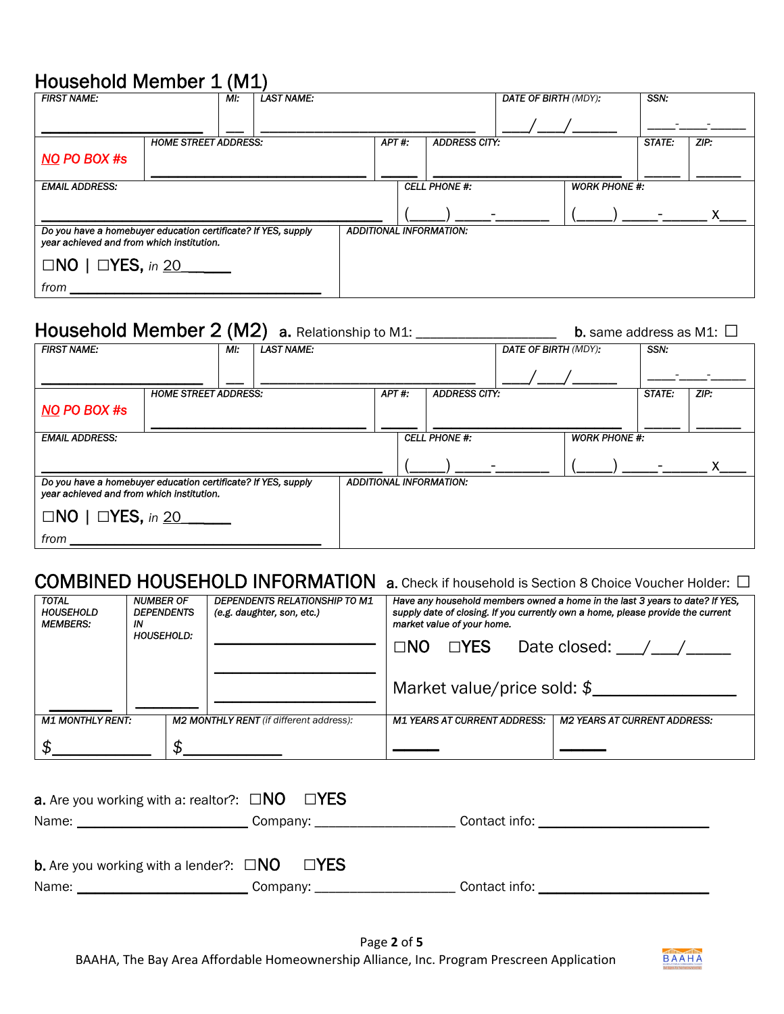### Household Member 1 (M1)

| <b>FIRST NAME:</b>                                                                                         | MI:                         | $\cdots$<br><b>LAST NAME:</b> |                                |                      | <b>DATE OF BIRTH (MDY):</b> | SSN:   |      |
|------------------------------------------------------------------------------------------------------------|-----------------------------|-------------------------------|--------------------------------|----------------------|-----------------------------|--------|------|
|                                                                                                            |                             |                               |                                |                      |                             |        |      |
|                                                                                                            | <b>HOME STREET ADDRESS:</b> |                               | APT#:                          | <b>ADDRESS CITY:</b> |                             | STATE: | ZIP: |
| <b>NO PO BOX #s</b>                                                                                        |                             |                               |                                |                      |                             |        |      |
| <b>EMAIL ADDRESS:</b>                                                                                      |                             |                               |                                | <b>CELL PHONE #:</b> | <b>WORK PHONE #:</b>        |        |      |
|                                                                                                            |                             |                               |                                |                      |                             |        |      |
| Do you have a homebuyer education certificate? If YES, supply<br>year achieved and from which institution. |                             |                               | <b>ADDITIONAL INFORMATION:</b> |                      |                             |        |      |
| $\Box$ NO   $\Box$ YES, in 20                                                                              |                             |                               |                                |                      |                             |        |      |
| from                                                                                                       |                             |                               |                                |                      |                             |        |      |

# Household Member 2 (M2)a. Relationship to M1: \_\_\_\_\_\_\_\_\_\_\_\_\_\_\_\_\_\_\_\_ b. same address as M1: **□**

| <b>FIRST NAME:</b>                                                                                         | MI:                         | <b>LAST NAME:</b> |                                |                      | <b>DATE OF BIRTH (MDY):</b> |                      | SSN:   |      |
|------------------------------------------------------------------------------------------------------------|-----------------------------|-------------------|--------------------------------|----------------------|-----------------------------|----------------------|--------|------|
|                                                                                                            |                             |                   |                                |                      |                             |                      |        |      |
|                                                                                                            | <b>HOME STREET ADDRESS:</b> |                   | APT#:                          | <b>ADDRESS CITY:</b> |                             |                      | STATE: | ZIP: |
| <b>NO PO BOX #s</b>                                                                                        |                             |                   |                                |                      |                             |                      |        |      |
| <b>EMAIL ADDRESS:</b>                                                                                      |                             |                   |                                | <b>CELL PHONE #:</b> |                             | <b>WORK PHONE #:</b> |        |      |
|                                                                                                            |                             |                   |                                |                      |                             |                      |        |      |
| Do you have a homebuyer education certificate? If YES, supply<br>year achieved and from which institution. |                             |                   | <b>ADDITIONAL INFORMATION:</b> |                      |                             |                      |        |      |
| $\Box$ NO   $\Box$ YES, in 20                                                                              |                             |                   |                                |                      |                             |                      |        |      |
| from                                                                                                       |                             |                   |                                |                      |                             |                      |        |      |

### COMBINED HOUSEHOLD INFORMATION a. Check if household is Section 8 Choice Voucher Holder: **□**

| <b>TOTAL</b><br><b>HOUSEHOLD</b><br><b>MEMBERS:</b> | <b>NUMBER OF</b><br><b>DEPENDENTS</b><br>ΙN<br><b>HOUSEHOLD:</b> | <b>DEPENDENTS RELATIONSHIP TO M1</b><br>(e.g. daughter, son, etc.) | market value of your home.<br>$\Box$ NO $\Box$ YES<br>Market value/price sold: $$$ | Have any household members owned a home in the last 3 years to date? If YES,<br>supply date of closing. If you currently own a home, please provide the current<br>Date closed: $\angle$ / $\angle$ |
|-----------------------------------------------------|------------------------------------------------------------------|--------------------------------------------------------------------|------------------------------------------------------------------------------------|-----------------------------------------------------------------------------------------------------------------------------------------------------------------------------------------------------|
| <b>M1 MONTHLY RENT:</b>                             |                                                                  | <b>M2 MONTHLY RENT</b> (if different address):                     | <b>M1 YEARS AT CURRENT ADDRESS:</b>                                                | <b>M2 YEARS AT CURRENT ADDRESS:</b>                                                                                                                                                                 |
|                                                     |                                                                  |                                                                    |                                                                                    |                                                                                                                                                                                                     |

| <b>a.</b> Are you working with a: realtor?: $\Box$ NO $\Box$ YES                                                             |                                 |                                                                                                                                                                                                                                |
|------------------------------------------------------------------------------------------------------------------------------|---------------------------------|--------------------------------------------------------------------------------------------------------------------------------------------------------------------------------------------------------------------------------|
|                                                                                                                              | Company: ______________________ |                                                                                                                                                                                                                                |
| <b>b.</b> Are you working with a lender?: $\Box NO$ $\Box YES$                                                               |                                 |                                                                                                                                                                                                                                |
| Name:<br><u> 1989 - Johann Barn, mars ann an t-Amhain an t-Amhain an t-Amhain an t-Amhain an t-Amhain an t-Amhain an t-A</u> | Company:                        | Contact info: example and a series of the series of the series of the series of the series of the series of the series of the series of the series of the series of the series of the series of the series of the series of th |

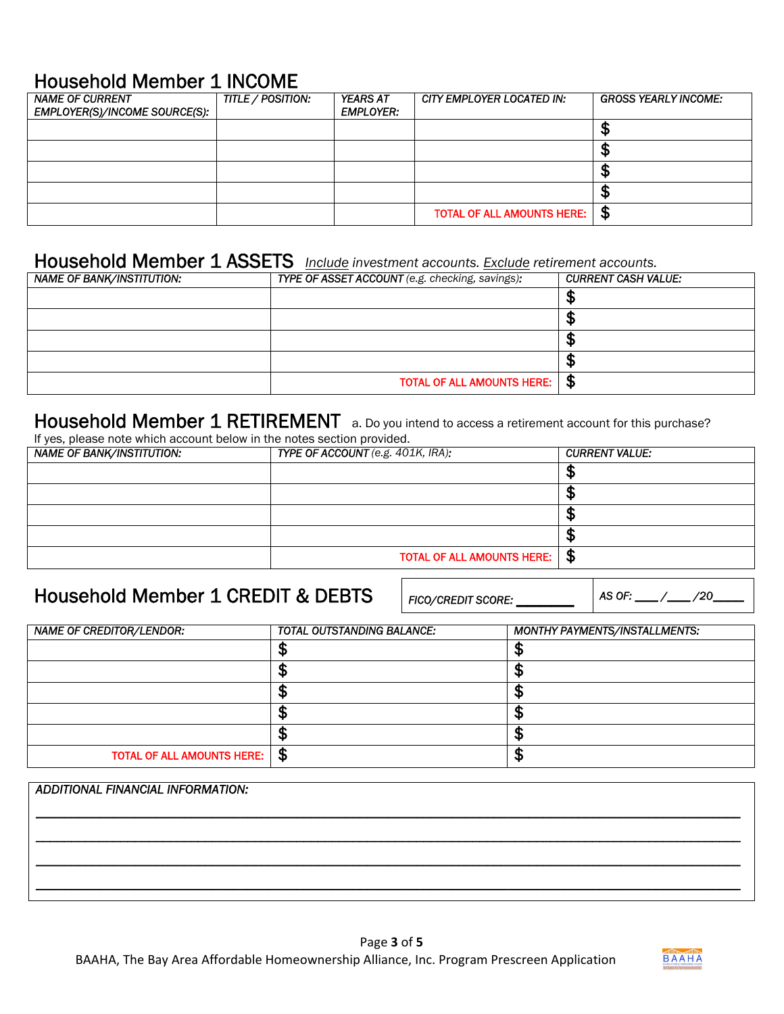#### Household Member 1 INCOME

| <b>NAME OF CURRENT</b><br>EMPLOYER(S)/INCOME SOURCE(S): | TITLE / POSITION: | <b>YEARS AT</b><br><b>EMPLOYER:</b> | CITY EMPLOYER LOCATED IN:         | <b>GROSS YEARLY INCOME:</b> |
|---------------------------------------------------------|-------------------|-------------------------------------|-----------------------------------|-----------------------------|
|                                                         |                   |                                     |                                   |                             |
|                                                         |                   |                                     |                                   | ۰D                          |
|                                                         |                   |                                     |                                   | ۰D                          |
|                                                         |                   |                                     |                                   | ۰D                          |
|                                                         |                   |                                     | <b>TOTAL OF ALL AMOUNTS HERE:</b> | -\$                         |

# Household Member 1 ASSETS *Include investment accounts. Exclude retirement accounts.*

| <b>NAME OF BANK/INSTITUTION:</b> | TYPE OF ASSET ACCOUNT (e.g. checking, savings): | <b>CURRENT CASH VALUE:</b> |
|----------------------------------|-------------------------------------------------|----------------------------|
|                                  |                                                 | мD                         |
|                                  |                                                 | мD                         |
|                                  |                                                 | мΩ                         |
|                                  |                                                 | ۰D                         |
|                                  | <b>TOTAL OF ALL AMOUNTS HERE:</b>               | S                          |

#### Household Member 1 RETIREMENT a. Do you intend to access a retirement account for this purchase?

If yes, please note which account below in the notes section provided.

| <b>NAME OF BANK/INSTITUTION:</b> | TYPE OF ACCOUNT (e.g. 401K, IRA): | <b>CURRENT VALUE:</b> |
|----------------------------------|-----------------------------------|-----------------------|
|                                  |                                   | w                     |
|                                  |                                   | мD                    |
|                                  |                                   | мD                    |
|                                  |                                   |                       |
|                                  | <b>TOTAL OF ALL AMOUNTS HERE:</b> | $\frac{4}{3}$         |

### Household Member 1 CREDIT & DEBTS

*FICO/CREDIT SCORE: \_\_\_\_\_ AS OF: \_\_\_ /\_\_\_ /20\_\_\_\_* 

| <b>TOTAL OUTSTANDING BALANCE:</b>        | MONTHY PAYMENTS/INSTALLMENTS: |
|------------------------------------------|-------------------------------|
|                                          |                               |
|                                          | σ<br>Æ                        |
|                                          | σ                             |
|                                          |                               |
|                                          |                               |
| ∣\$<br><b>TOTAL OF ALL AMOUNTS HERE:</b> | σ<br>æ                        |
|                                          |                               |

## *ADDITIONAL FINANCIAL INFORMATION: \_\_\_\_\_\_\_\_\_\_\_\_\_\_\_\_\_\_\_\_\_\_\_\_\_\_\_\_\_\_\_\_\_\_\_\_\_\_\_\_\_\_\_\_\_\_\_\_\_\_\_\_\_\_\_\_\_\_\_\_\_\_\_\_\_\_\_\_\_\_\_\_\_\_\_\_\_\_\_\_\_\_\_\_\_\_\_\_\_\_\_\_\_\_\_\_\_\_\_\_ \_\_\_\_\_\_\_\_\_\_\_\_\_\_\_\_\_\_\_\_\_\_\_\_\_\_\_\_\_\_\_\_\_\_\_\_\_\_\_\_\_\_\_\_\_\_\_\_\_\_\_\_\_\_\_\_\_\_\_\_\_\_\_\_\_\_\_\_\_\_\_\_\_\_\_\_\_\_\_\_\_\_\_\_\_\_\_\_\_\_\_\_\_\_\_\_\_\_\_\_ \_\_\_\_\_\_\_\_\_\_\_\_\_\_\_\_\_\_\_\_\_\_\_\_\_\_\_\_\_\_\_\_\_\_\_\_\_\_\_\_\_\_\_\_\_\_\_\_\_\_\_\_\_\_\_\_\_\_\_\_\_\_\_\_\_\_\_\_\_\_\_\_\_\_\_\_\_\_\_\_\_\_\_\_\_\_\_\_\_\_\_\_\_\_\_\_\_\_\_\_ \_\_\_\_\_\_\_\_\_\_\_\_\_\_\_\_\_\_\_\_\_\_\_\_\_\_\_\_\_\_\_\_\_\_\_\_\_\_\_\_\_\_\_\_\_\_\_\_\_\_\_\_\_\_\_\_\_\_\_\_\_\_\_\_\_\_\_\_\_\_\_\_\_\_\_\_\_\_\_\_\_\_\_\_\_\_\_\_\_\_\_\_\_\_\_\_\_\_\_\_*

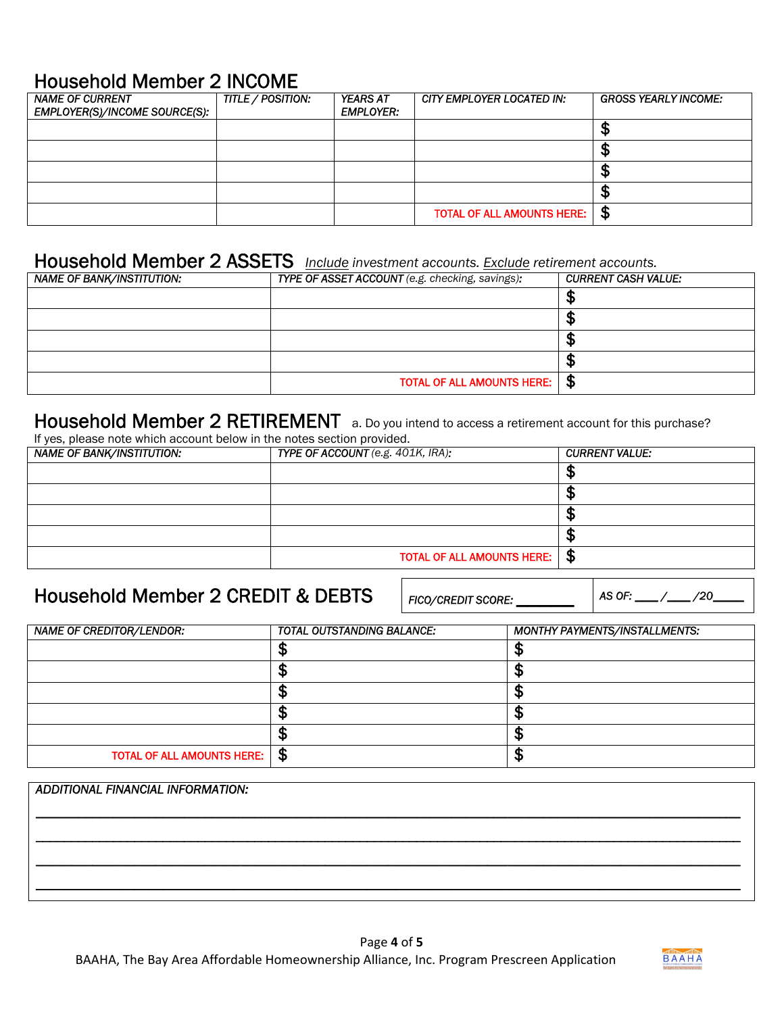#### Household Member 2 INCOME

| <b>NAME OF CURRENT</b><br>EMPLOYER(S)/INCOME SOURCE(S): | TITLE / POSITION: | <b>YEARS AT</b><br><b>EMPLOYER:</b> | CITY EMPLOYER LOCATED IN:         | <b>GROSS YEARLY INCOME:</b> |
|---------------------------------------------------------|-------------------|-------------------------------------|-----------------------------------|-----------------------------|
|                                                         |                   |                                     |                                   |                             |
|                                                         |                   |                                     |                                   | ۰D                          |
|                                                         |                   |                                     |                                   | J۵                          |
|                                                         |                   |                                     |                                   | ۰D                          |
|                                                         |                   |                                     | <b>TOTAL OF ALL AMOUNTS HERE:</b> | $\mathbf{F}$                |

# Household Member 2 ASSETS *Include investment accounts. Exclude retirement accounts.*

| <b>NAME OF BANK/INSTITUTION:</b> | TYPE OF ASSET ACCOUNT (e.g. checking, savings): | <b>CURRENT CASH VALUE:</b> |
|----------------------------------|-------------------------------------------------|----------------------------|
|                                  |                                                 |                            |
|                                  |                                                 |                            |
|                                  |                                                 |                            |
|                                  |                                                 |                            |
|                                  | <b>TOTAL OF ALL AMOUNTS HERE:</b>               | S                          |

#### Household Member 2 RETIREMENT a. Do you intend to access a retirement account for this purchase?

If yes, please note which account below in the notes section provided.

| ii yoo, pidado hoto milion adodant boldir in tho hotod doction providedi<br><b>NAME OF BANK/INSTITUTION:</b> | TYPE OF ACCOUNT (e.g. 401K, IRA): | <b>CURRENT VALUE:</b> |
|--------------------------------------------------------------------------------------------------------------|-----------------------------------|-----------------------|
|                                                                                                              |                                   |                       |
|                                                                                                              |                                   | ۰D                    |
|                                                                                                              |                                   | мP                    |
|                                                                                                              |                                   |                       |
|                                                                                                              | <b>TOTAL OF ALL AMOUNTS HERE:</b> | - \$                  |

### Household Member 2 CREDIT & DEBTS

*FICO/CREDIT SCORE: \_\_\_\_\_ AS OF: \_\_\_ /\_\_\_ /20\_\_\_\_* 

| <b>NAME OF CREDITOR/LENDOR:</b>        | <b>TOTAL OUTSTANDING BALANCE:</b> | <b>MONTHY PAYMENTS/INSTALLMENTS:</b> |
|----------------------------------------|-----------------------------------|--------------------------------------|
|                                        |                                   |                                      |
|                                        |                                   |                                      |
|                                        |                                   |                                      |
|                                        |                                   |                                      |
|                                        |                                   |                                      |
| <b>TOTAL OF ALL AMOUNTS HERE:</b>   \$ |                                   | σ                                    |

# *ADDITIONAL FINANCIAL INFORMATION: \_\_\_\_\_\_\_\_\_\_\_\_\_\_\_\_\_\_\_\_\_\_\_\_\_\_\_\_\_\_\_\_\_\_\_\_\_\_\_\_\_\_\_\_\_\_\_\_\_\_\_\_\_\_\_\_\_\_\_\_\_\_\_\_\_\_\_\_\_\_\_\_\_\_\_\_\_\_\_\_\_\_\_\_\_\_\_\_\_\_\_\_\_\_\_\_\_\_\_\_ \_\_\_\_\_\_\_\_\_\_\_\_\_\_\_\_\_\_\_\_\_\_\_\_\_\_\_\_\_\_\_\_\_\_\_\_\_\_\_\_\_\_\_\_\_\_\_\_\_\_\_\_\_\_\_\_\_\_\_\_\_\_\_\_\_\_\_\_\_\_\_\_\_\_\_\_\_\_\_\_\_\_\_\_\_\_\_\_\_\_\_\_\_\_\_\_\_\_\_\_ \_\_\_\_\_\_\_\_\_\_\_\_\_\_\_\_\_\_\_\_\_\_\_\_\_\_\_\_\_\_\_\_\_\_\_\_\_\_\_\_\_\_\_\_\_\_\_\_\_\_\_\_\_\_\_\_\_\_\_\_\_\_\_\_\_\_\_\_\_\_\_\_\_\_\_\_\_\_\_\_\_\_\_\_\_\_\_\_\_\_\_\_\_\_\_\_\_\_\_\_ \_\_\_\_\_\_\_\_\_\_\_\_\_\_\_\_\_\_\_\_\_\_\_\_\_\_\_\_\_\_\_\_\_\_\_\_\_\_\_\_\_\_\_\_\_\_\_\_\_\_\_\_\_\_\_\_\_\_\_\_\_\_\_\_\_\_\_\_\_\_\_\_\_\_\_\_\_\_\_\_\_\_\_\_\_\_\_\_\_\_\_\_\_\_\_\_\_\_\_\_*